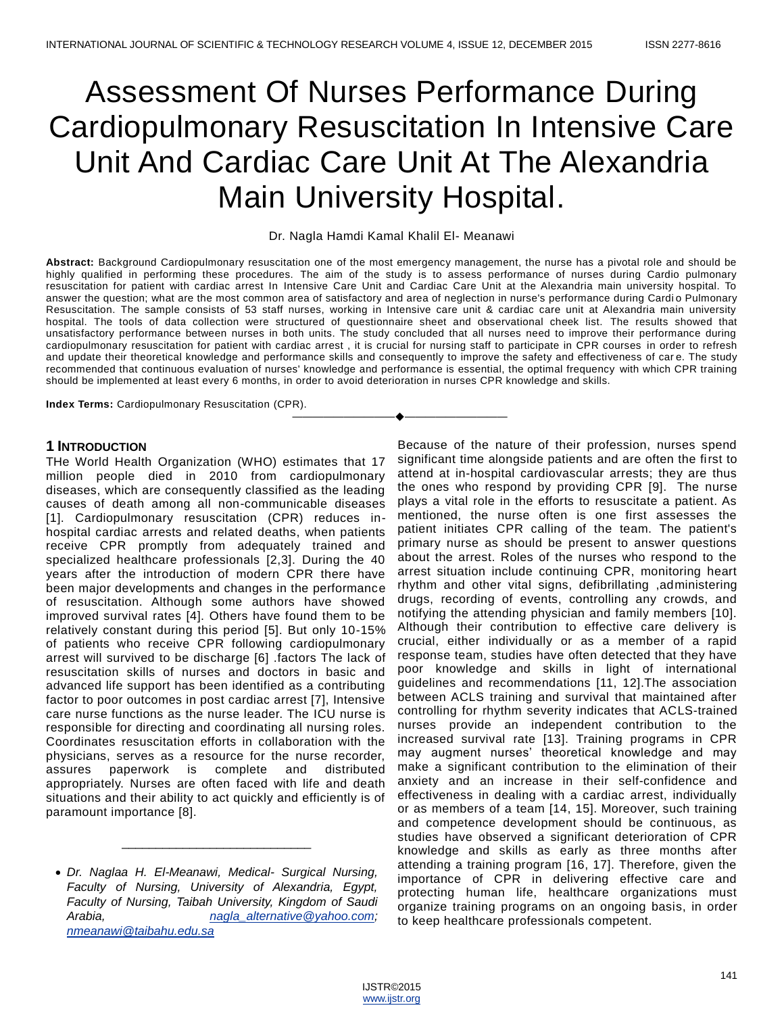# Assessment Of Nurses Performance During Cardiopulmonary Resuscitation In Intensive Care Unit And Cardiac Care Unit At The Alexandria Main University Hospital.

## Dr. Nagla Hamdi Kamal Khalil El- Meanawi

**Abstract:** Background Cardiopulmonary resuscitation one of the most emergency management, the nurse has a pivotal role and should be highly qualified in performing these procedures. The aim of the study is to assess performance of nurses during Cardio pulmonary resuscitation for patient with cardiac arrest In Intensive Care Unit and Cardiac Care Unit at the Alexandria main university hospital. To answer the question; what are the most common area of satisfactory and area of neglection in nurse's performance during Cardi o Pulmonary Resuscitation. The sample consists of 53 staff nurses, working in Intensive care unit & cardiac care unit at Alexandria main university hospital. The tools of data collection were structured of questionnaire sheet and observational cheek list. The results showed that unsatisfactory performance between nurses in both units. The study concluded that all nurses need to improve their performance during cardiopulmonary resuscitation for patient with cardiac arrest , it is crucial for nursing staff to participate in CPR courses in order to refresh and update their theoretical knowledge and performance skills and consequently to improve the safety and effectiveness of car e. The study recommended that continuous evaluation of nurses' knowledge and performance is essential, the optimal frequency with which CPR training should be implemented at least every 6 months, in order to avoid deterioration in nurses CPR knowledge and skills.

————————————————————

**Index Terms:** Cardiopulmonary Resuscitation (CPR).

# **1 INTRODUCTION**

THe World Health Organization (WHO) estimates that 17 million people died in 2010 from cardiopulmonary diseases, which are consequently classified as the leading causes of death among all non-communicable diseases [1]. Cardiopulmonary resuscitation (CPR) reduces inhospital cardiac arrests and related deaths, when patients receive CPR promptly from adequately trained and specialized healthcare professionals [2,3]. During the 40 years after the introduction of modern CPR there have been major developments and changes in the performance of resuscitation. Although some authors have showed improved survival rates [4]. Others have found them to be relatively constant during this period [5]. But only 10-15% of patients who receive CPR following cardiopulmonary arrest will survived to be discharge [6] .factors The lack of resuscitation skills of nurses and doctors in basic and advanced life support has been identified as a contributing factor to poor outcomes in post cardiac arrest [7], Intensive care nurse functions as the nurse leader. The ICU nurse is responsible for directing and coordinating all nursing roles. Coordinates resuscitation efforts in collaboration with the physicians, serves as a resource for the nurse recorder, assures paperwork is complete and distributed appropriately. Nurses are often faced with life and death situations and their ability to act quickly and efficiently is of paramount importance [8].

\_\_\_\_\_\_\_\_\_\_\_\_\_\_\_\_\_\_\_\_\_\_\_\_\_\_\_\_

Because of the nature of their profession, nurses spend significant time alongside patients and are often the first to attend at in-hospital cardiovascular arrests; they are thus the ones who respond by providing CPR [9]. The nurse plays a vital role in the efforts to resuscitate a patient. As mentioned, the nurse often is one first assesses the patient initiates CPR calling of the team. The patient's primary nurse as should be present to answer questions about the arrest. Roles of the nurses who respond to the arrest situation include continuing CPR, monitoring heart rhythm and other vital signs, defibrillating ,administering drugs, recording of events, controlling any crowds, and notifying the attending physician and family members [10]. Although their contribution to effective care delivery is crucial, either individually or as a member of a rapid response team, studies have often detected that they have poor knowledge and skills in light of international guidelines and recommendations [11, 12].The association between ACLS training and survival that maintained after controlling for rhythm severity indicates that ACLS-trained nurses provide an independent contribution to the increased survival rate [13]. Training programs in CPR may augment nurses' theoretical knowledge and may make a significant contribution to the elimination of their anxiety and an increase in their self-confidence and effectiveness in dealing with a cardiac arrest, individually or as members of a team [14, 15]. Moreover, such training and competence development should be continuous, as studies have observed a significant deterioration of CPR knowledge and skills as early as three months after attending a training program [16, 17]. Therefore, given the importance of CPR in delivering effective care and protecting human life, healthcare organizations must organize training programs on an ongoing basis, in order to keep healthcare professionals competent.

*Dr. Naglaa H. El-Meanawi, Medical- Surgical Nursing, Faculty of Nursing, University of Alexandria, Egypt, Faculty of Nursing, Taibah University, Kingdom of Saudi Arabia, [nagla\\_alternative@yahoo.com;](mailto:nagla_alternative@yahoo.com) [nmeanawi@taibahu.edu.sa](mailto:nmeanawi@taibahu.edu.sa)*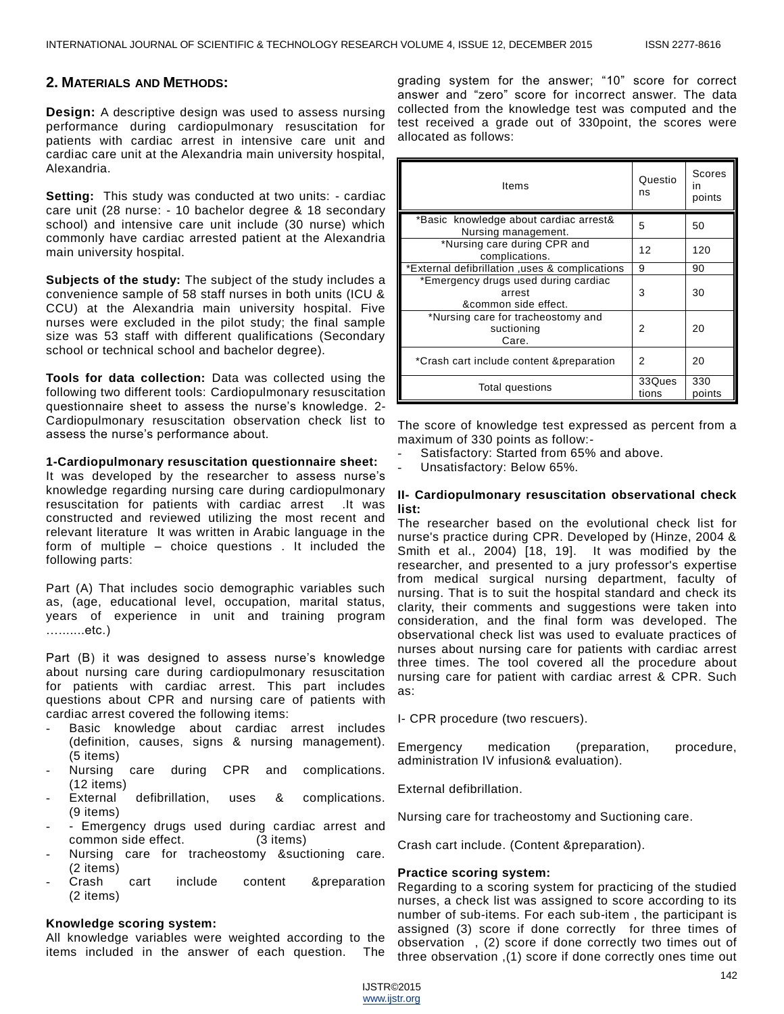## **2. MATERIALS AND METHODS:**

**Design:** A descriptive design was used to assess nursing performance during cardiopulmonary resuscitation for patients with cardiac arrest in intensive care unit and cardiac care unit at the Alexandria main university hospital, Alexandria.

**Setting:** This study was conducted at two units: - cardiac care unit (28 nurse: - 10 bachelor degree & 18 secondary school) and intensive care unit include (30 nurse) which commonly have cardiac arrested patient at the Alexandria main university hospital.

**Subjects of the study:** The subject of the study includes a convenience sample of 58 staff nurses in both units (ICU & CCU) at the Alexandria main university hospital. Five nurses were excluded in the pilot study; the final sample size was 53 staff with different qualifications (Secondary school or technical school and bachelor degree).

**Tools for data collection:** Data was collected using the following two different tools: Cardiopulmonary resuscitation questionnaire sheet to assess the nurse's knowledge. 2- Cardiopulmonary resuscitation observation check list to assess the nurse's performance about.

#### **1-Cardiopulmonary resuscitation questionnaire sheet:**

It was developed by the researcher to assess nurse's knowledge regarding nursing care during cardiopulmonary resuscitation for patients with cardiac arrest .It was constructed and reviewed utilizing the most recent and relevant literature It was written in Arabic language in the form of multiple – choice questions . It included the following parts:

Part (A) That includes socio demographic variables such as, (age, educational level, occupation, marital status, years of experience in unit and training program ….......etc.)

Part (B) it was designed to assess nurse's knowledge about nursing care during cardiopulmonary resuscitation for patients with cardiac arrest. This part includes questions about CPR and nursing care of patients with cardiac arrest covered the following items:

- Basic knowledge about cardiac arrest includes (definition, causes, signs & nursing management). (5 items)
- Nursing care during CPR and complications. (12 items)
- External defibrillation, uses & complications. (9 items)
- Emergency drugs used during cardiac arrest and common side effect. (3 items)
- Nursing care for tracheostomy & suctioning care. (2 items)
- Crash cart include content &preparation (2 items)

### **Knowledge scoring system:**

All knowledge variables were weighted according to the items included in the answer of each question. The grading system for the answer; "10" score for correct answer and "zero" score for incorrect answer. The data collected from the knowledge test was computed and the test received a grade out of 330point, the scores were allocated as follows:

| Items                                                                  | Questio<br>ns   | Scores<br><i>in</i><br>points |
|------------------------------------------------------------------------|-----------------|-------------------------------|
| *Basic knowledge about cardiac arrest&<br>Nursing management.          | 5               | 50                            |
| *Nursing care during CPR and<br>complications.                         | 12              | 120                           |
| *External defibrillation .uses & complications                         | 9               | 90                            |
| *Emergency drugs used during cardiac<br>arrest<br>&common side effect. | 3               | 30                            |
| *Nursing care for tracheostomy and<br>suctioning<br>Care.              | 2               | 20                            |
| *Crash cart include content & preparation                              | 2               | 20                            |
| Total questions                                                        | 33Ques<br>tions | 330<br>points                 |

The score of knowledge test expressed as percent from a maximum of 330 points as follow:-

- Satisfactory: Started from 65% and above.
- Unsatisfactory: Below 65%.

### **II- Cardiopulmonary resuscitation observational check list:**

The researcher based on the evolutional check list for nurse's practice during CPR. Developed by (Hinze, 2004 & Smith et al., 2004) [18, 19]. It was modified by the researcher, and presented to a jury professor's expertise from medical surgical nursing department, faculty of nursing. That is to suit the hospital standard and check its clarity, their comments and suggestions were taken into consideration, and the final form was developed. The observational check list was used to evaluate practices of nurses about nursing care for patients with cardiac arrest three times. The tool covered all the procedure about nursing care for patient with cardiac arrest & CPR. Such as:

I- CPR procedure (two rescuers).

Emergency medication (preparation, procedure, administration IV infusion& evaluation).

External defibrillation.

Nursing care for tracheostomy and Suctioning care.

Crash cart include. (Content &preparation).

#### **Practice scoring system:**

Regarding to a scoring system for practicing of the studied nurses, a check list was assigned to score according to its number of sub-items. For each sub-item , the participant is assigned (3) score if done correctly for three times of observation , (2) score if done correctly two times out of three observation ,(1) score if done correctly ones time out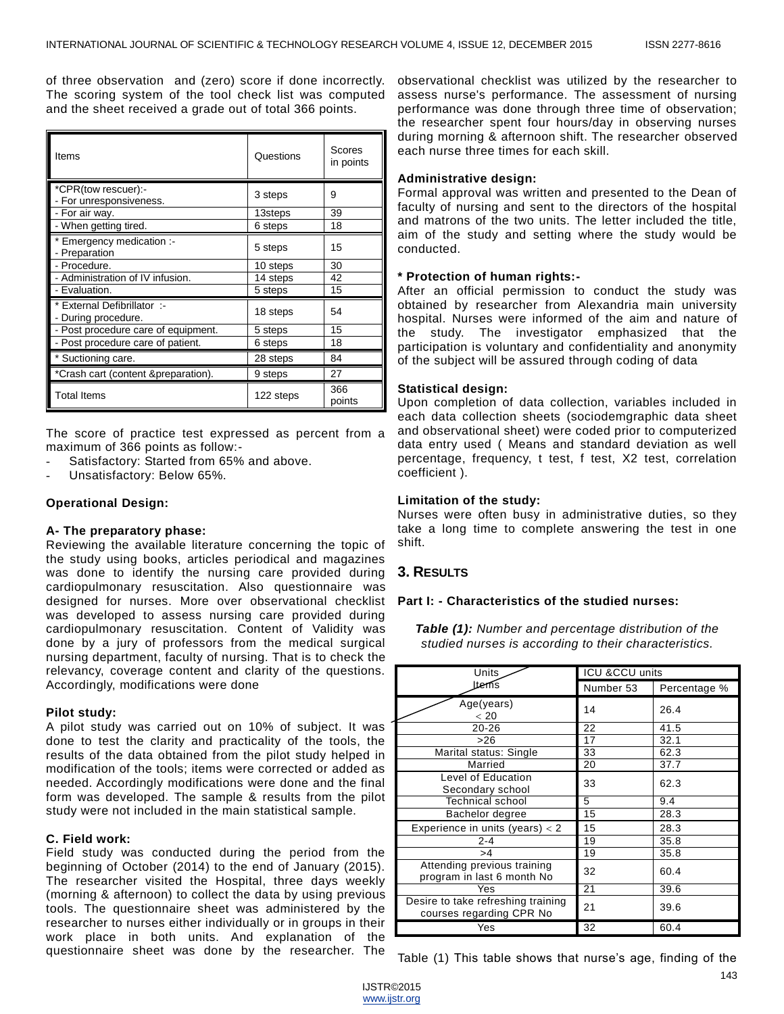of three observation and (zero) score if done incorrectly. The scoring system of the tool check list was computed and the sheet received a grade out of total 366 points.

| Items                                            | Questions | Scores<br>in points |
|--------------------------------------------------|-----------|---------------------|
| *CPR(tow rescuer):-<br>- For unresponsiveness.   | 3 steps   | 9                   |
| - For air way.                                   | 13steps   | 39                  |
| - When getting tired.                            | 6 steps   | 18                  |
| * Emergency medication :-<br>- Preparation       | 5 steps   | 15                  |
| - Procedure.                                     | 10 steps  | 30                  |
| - Administration of IV infusion.                 | 14 steps  | 42                  |
| - Evaluation.                                    | 5 steps   | 15                  |
| External Defibrillator :-<br>- During procedure. | 18 steps  | 54                  |
| - Post procedure care of equipment.              | 5 steps   | 15                  |
| - Post procedure care of patient.                | 6 steps   | 18                  |
| * Suctioning care.                               | 28 steps  | 84                  |
| *Crash cart (content &preparation).              | 9 steps   | 27                  |
| <b>Total Items</b>                               | 122 steps | 366<br>points       |

The score of practice test expressed as percent from a maximum of 366 points as follow:-

- Satisfactory: Started from 65% and above.
- Unsatisfactory: Below 65%.

# **Operational Design:**

#### **A- The preparatory phase:**

Reviewing the available literature concerning the topic of the study using books, articles periodical and magazines was done to identify the nursing care provided during cardiopulmonary resuscitation. Also questionnaire was designed for nurses. More over observational checklist was developed to assess nursing care provided during cardiopulmonary resuscitation. Content of Validity was done by a jury of professors from the medical surgical nursing department, faculty of nursing. That is to check the relevancy, coverage content and clarity of the questions. Accordingly, modifications were done

#### **Pilot study:**

A pilot study was carried out on 10% of subject. It was done to test the clarity and practicality of the tools, the results of the data obtained from the pilot study helped in modification of the tools; items were corrected or added as needed. Accordingly modifications were done and the final form was developed. The sample & results from the pilot study were not included in the main statistical sample.

#### **C. Field work:**

Field study was conducted during the period from the beginning of October (2014) to the end of January (2015). The researcher visited the Hospital, three days weekly (morning & afternoon) to collect the data by using previous tools. The questionnaire sheet was administered by the researcher to nurses either individually or in groups in their work place in both units. And explanation of the questionnaire sheet was done by the researcher. The

observational checklist was utilized by the researcher to assess nurse's performance. The assessment of nursing performance was done through three time of observation; the researcher spent four hours/day in observing nurses during morning & afternoon shift. The researcher observed each nurse three times for each skill.

#### **Administrative design:**

Formal approval was written and presented to the Dean of faculty of nursing and sent to the directors of the hospital and matrons of the two units. The letter included the title, aim of the study and setting where the study would be conducted.

#### **\* Protection of human rights:-**

After an official permission to conduct the study was obtained by researcher from Alexandria main university hospital. Nurses were informed of the aim and nature of the study. The investigator emphasized that the participation is voluntary and confidentiality and anonymity of the subject will be assured through coding of data

#### **Statistical design:**

Upon completion of data collection, variables included in each data collection sheets (sociodemgraphic data sheet and observational sheet) were coded prior to computerized data entry used ( Means and standard deviation as well percentage, frequency, t test, f test, X2 test, correlation coefficient ).

#### **Limitation of the study:**

Nurses were often busy in administrative duties, so they take a long time to complete answering the test in one shift.

## **3. RESULTS**

# **Part I: - Characteristics of the studied nurses:**

*Table (1): Number and percentage distribution of the studied nurses is according to their characteristics.*

| Units                                                          | <b>ICU &amp;CCU units</b> |              |  |
|----------------------------------------------------------------|---------------------------|--------------|--|
| ltems                                                          | Number 53                 | Percentage % |  |
| Age(years)<br>< 20                                             | 14                        | 26.4         |  |
| $20 - 26$                                                      | 22                        | 41.5         |  |
| >26                                                            | 17                        | 32.1         |  |
| Marital status: Single                                         | 33                        | 62.3         |  |
| Married                                                        | 20                        | 37.7         |  |
| Level of Education<br>Secondary school                         | 33                        | 62.3         |  |
| Technical school                                               | 5                         | 9.4          |  |
| Bachelor degree                                                | 15                        | 28.3         |  |
| Experience in units (years) $<$ 2                              | 15                        | 28.3         |  |
| 2-4                                                            | 19                        | 35.8         |  |
| >4                                                             | 19                        | 35.8         |  |
| Attending previous training<br>program in last 6 month No      | 32                        | 60.4         |  |
| Yes                                                            | 21                        | 39.6         |  |
| Desire to take refreshing training<br>courses regarding CPR No | 21                        | 39.6         |  |
| Yes                                                            | 32                        | 60.4         |  |

Table (1) This table shows that nurse's age, finding of the

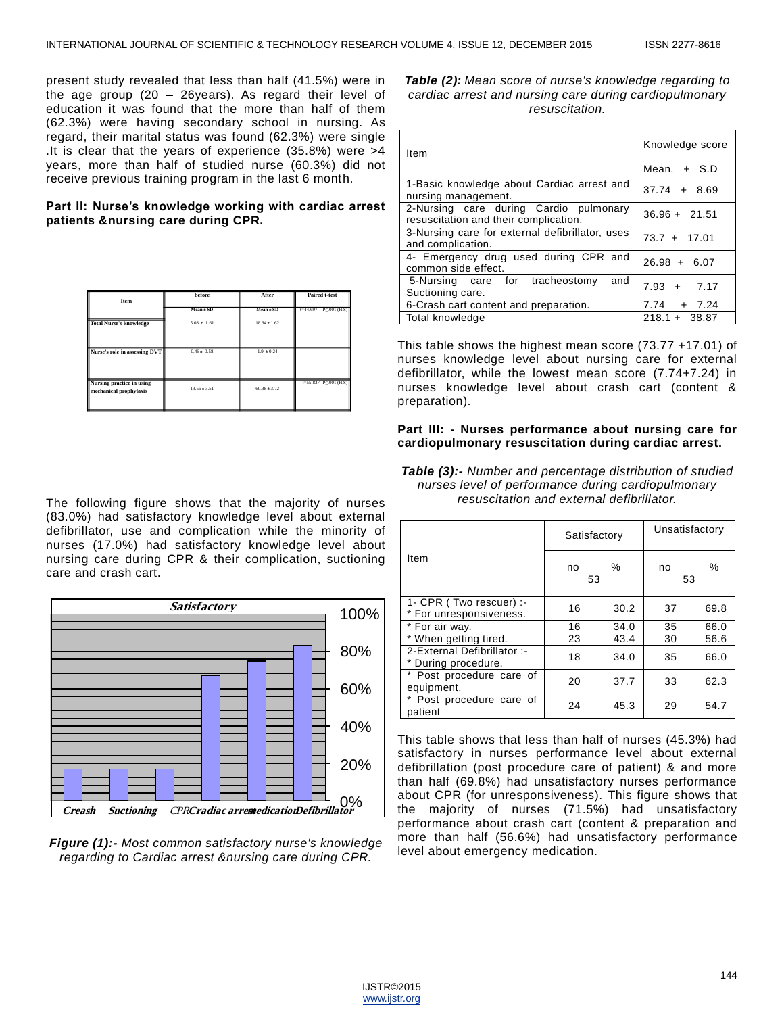present study revealed that less than half (41.5%) were in the age group (20 – 26years). As regard their level of education it was found that the more than half of them (62.3%) were having secondary school in nursing. As regard, their marital status was found (62.3%) were single .It is clear that the years of experience (35.8%) were >4 years, more than half of studied nurse (60.3%) did not receive previous training program in the last 6 month.

## **Part II: Nurse's knowledge working with cardiac arrest patients &nursing care during CPR.**

| Item                                                | before           | After            | <b>Paired t-test</b>              |
|-----------------------------------------------------|------------------|------------------|-----------------------------------|
|                                                     | Mean ± SD        | Mean ± SD        | $P \le 001$ (H.S)<br>$t = 44.697$ |
| <b>Total Nurse's knowledge</b>                      | $5.08 \pm 1.61$  | $18.34 \pm 1.62$ |                                   |
| Nurse's role in assessing DVT                       | $0.46 \pm 0.58$  | $1.9 \pm 0.24$   |                                   |
| Nursing practice in using<br>mechanical prophylaxis | $19.56 \pm 3.51$ | $60.38 \pm 3.72$ | $t=55.837$ P $\leq 0.01$ (H.S)    |

The following figure shows that the majority of nurses (83.0%) had satisfactory knowledge level about external defibrillator, use and complication while the minority of nurses (17.0%) had satisfactory knowledge level about nursing care during CPR & their complication, suctioning care and crash cart.



*Figure (1):- Most common satisfactory nurse's knowledge regarding to Cardiac arrest &nursing care during CPR.*

*Table (2): Mean score of nurse's knowledge regarding to cardiac arrest and nursing care during cardiopulmonary resuscitation.*

| Item                                                                            | Knowledge score |
|---------------------------------------------------------------------------------|-----------------|
|                                                                                 | Mean. $+$ S.D   |
| 1-Basic knowledge about Cardiac arrest and<br>nursing management.               | $37.74 + 8.69$  |
| 2-Nursing care during Cardio pulmonary<br>resuscitation and their complication. | $36.96 + 21.51$ |
| 3-Nursing care for external defibrillator, uses<br>and complication.            | $73.7 + 17.01$  |
| 4- Emergency drug used during CPR and<br>common side effect.                    | $26.98 + 6.07$  |
| 5-Nursing care for tracheostomy<br>and<br>Suctioning care.                      | $7.93 + 7.17$   |
| 6-Crash cart content and preparation.                                           | $7.74 + 7.24$   |
| Total knowledge                                                                 | $218.1 + 38.87$ |

This table shows the highest mean score (73.77 +17.01) of nurses knowledge level about nursing care for external defibrillator, while the lowest mean score (7.74+7.24) in nurses knowledge level about crash cart (content & preparation).

## **Part III: - Nurses performance about nursing care for cardiopulmonary resuscitation during cardiac arrest.**

| Table (3):- Number and percentage distribution of studied |
|-----------------------------------------------------------|
| nurses level of performance during cardiopulmonary        |
| resuscitation and external defibrillator.                 |

|                                                    | Satisfactory  |      | Unsatisfactory |      |
|----------------------------------------------------|---------------|------|----------------|------|
| Item                                               | ℅<br>no<br>53 |      | no<br>53       | $\%$ |
| 1- CPR (Two rescuer) :-<br>* For unresponsiveness. | 16            | 30.2 | 37             | 69.8 |
| * For air way.                                     | 16            | 34.0 | 35             | 66.0 |
| * When getting tired.                              | 23            | 43.4 | 30             | 56.6 |
| 2-External Defibrillator:-<br>* During procedure.  | 18            | 34.0 | 35             | 66.0 |
| * Post procedure care of<br>equipment.             | 20            | 37.7 | 33             | 62.3 |
| * Post procedure care of<br>patient                | 24            | 45.3 | 29             | 54.7 |

This table shows that less than half of nurses (45.3%) had satisfactory in nurses performance level about external defibrillation (post procedure care of patient) & and more than half (69.8%) had unsatisfactory nurses performance about CPR (for unresponsiveness). This figure shows that the majority of nurses (71.5%) had unsatisfactory performance about crash cart (content & preparation and more than half (56.6%) had unsatisfactory performance level about emergency medication.

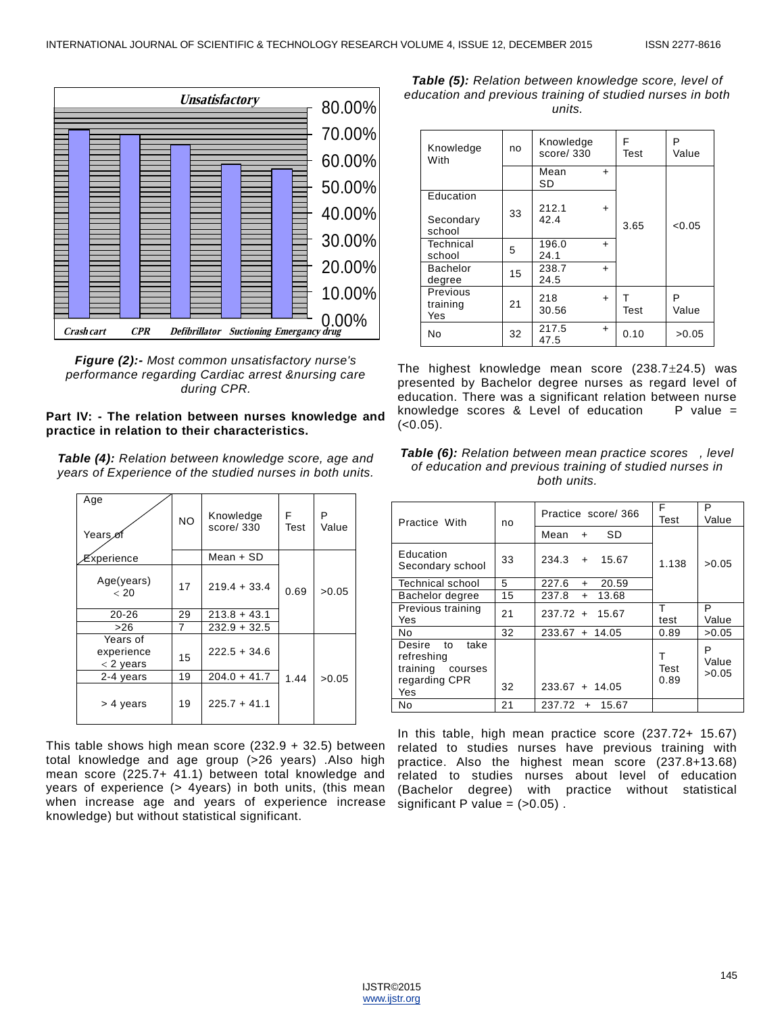

*Figure (2):- Most common unsatisfactory nurse's performance regarding Cardiac arrest &nursing care during CPR.*

#### **Part IV: - The relation between nurses knowledge and practice in relation to their characteristics.**

*Table (4): Relation between knowledge score, age and years of Experience of the studied nurses in both units.*

| Age<br>Years <sub>o</sub>             | <b>NO</b> | Knowledge<br>score/330 | F<br>Test | P<br>Value |
|---------------------------------------|-----------|------------------------|-----------|------------|
| Experience                            |           | $Mean + SD$            |           |            |
| Age(years)<br>< 20                    | 17        | $219.4 + 33.4$         | 0.69      | >0.05      |
| $20 - 26$                             | 29        | $213.8 + 43.1$         |           |            |
| >26                                   | 7         | $232.9 + 32.5$         |           |            |
| Years of<br>experience<br>$<$ 2 years | 15        | $222.5 + 34.6$         |           |            |
| 2-4 years                             | 19        | $204.0 + 41.7$         | 1.44      | >0.05      |
| > 4 years                             | 19        | $225.7 + 41.1$         |           |            |

This table shows high mean score (232.9 + 32.5) between total knowledge and age group (>26 years) .Also high mean score (225.7+ 41.1) between total knowledge and years of experience (> 4years) in both units, (this mean when increase age and years of experience increase knowledge) but without statistical significant.

*Table (5): Relation between knowledge score, level of education and previous training of studied nurses in both units.*

| Knowledge<br>With                | no | Knowledge<br>score/330 |           | F<br>Test | P<br>Value |
|----------------------------------|----|------------------------|-----------|-----------|------------|
|                                  |    | Mean<br>SD             | $\ddot{}$ |           |            |
| Education<br>Secondary<br>school | 33 | 212.1<br>42.4          | $+$       | 3.65      | < 0.05     |
| Technical<br>school              | 5  | 196.0<br>24.1          | $\ddot{}$ |           |            |
| <b>Bachelor</b><br>degree        | 15 | 238.7<br>24.5          | $\ddot{}$ |           |            |
| Previous<br>training<br>Yes      | 21 | 218<br>30.56           | $+$       | т<br>Test | P<br>Value |
| No                               | 32 | 217.5<br>47.5          | $+$       | 0.10      | >0.05      |

The highest knowledge mean score  $(238.7 \pm 24.5)$  was presented by Bachelor degree nurses as regard level of education. There was a significant relation between nurse knowledge scores & Level of education  $P$  value =  $(<0.05)$ .



| Practice With                                                                     | no | Practice score/366       | F<br>Test         | P<br>Value          |
|-----------------------------------------------------------------------------------|----|--------------------------|-------------------|---------------------|
|                                                                                   |    | <b>SD</b><br>Mean<br>$+$ |                   |                     |
| Education<br>Secondary school                                                     | 33 | $234.3 +$<br>15.67       | 1.138             | >0.05               |
| <b>Technical school</b>                                                           | 5  | 227.6<br>20.59<br>$+$    |                   |                     |
| Bachelor degree                                                                   | 15 | 13.68<br>237.8<br>$+$    |                   |                     |
| Previous training<br>Yes                                                          | 21 | $237.72 + 15.67$         | т<br>test         | P<br>Value          |
| No                                                                                | 32 | $233.67 + 14.05$         | 0.89              | >0.05               |
| Desire<br>take<br>to<br>refreshing<br>training<br>courses<br>regarding CPR<br>Yes | 32 | $233.67 + 14.05$         | т<br>Test<br>0.89 | P<br>Value<br>>0.05 |
| No                                                                                | 21 | $237.72 +$<br>15.67      |                   |                     |

In this table, high mean practice score (237.72+ 15.67) related to studies nurses have previous training with practice. Also the highest mean score (237.8+13.68) related to studies nurses about level of education (Bachelor degree) with practice without statistical significant P value =  $(>0.05)$ .

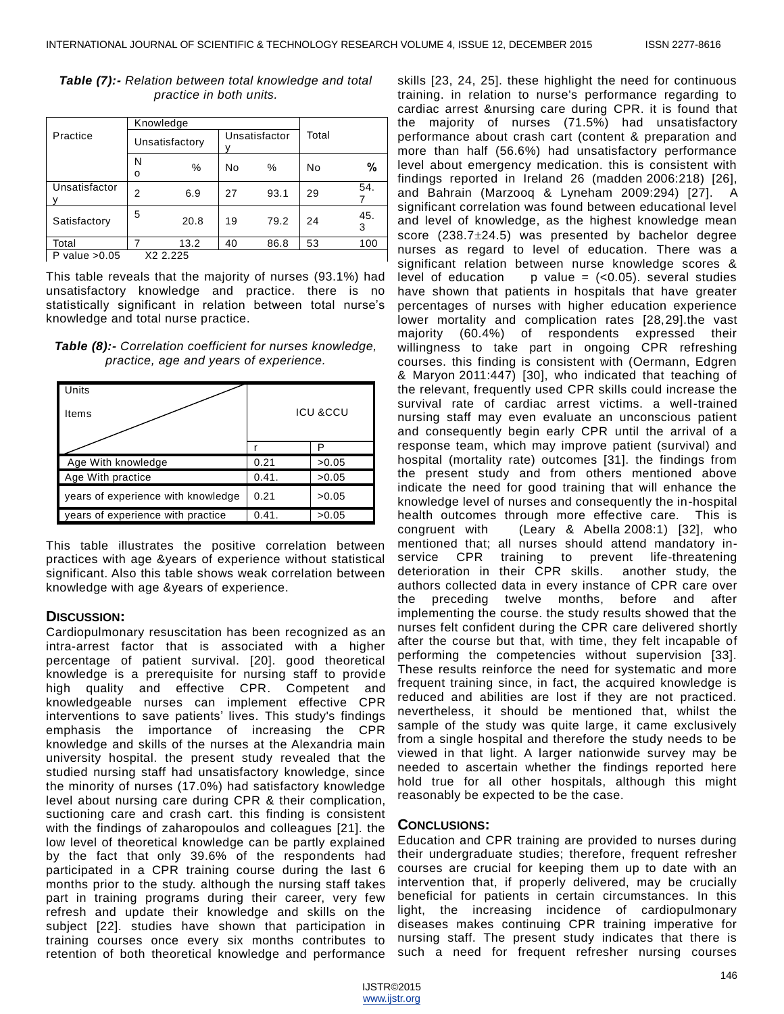|                 | Knowledge      |          |    |               |    |          |  |
|-----------------|----------------|----------|----|---------------|----|----------|--|
| Practice        | Unsatisfactory |          |    | Unsatisfactor |    |          |  |
|                 | Ν<br>о         | %        | No | %             | No | %        |  |
| Unsatisfactor   | 2              | 6.9      | 27 | 93.1          | 29 | 54.      |  |
| Satisfactory    | 5              | 20.8     | 19 | 79.2          | 24 | 45.<br>3 |  |
| Total           |                | 13.2     | 40 | 86.8          | 53 | 100      |  |
| P value $>0.05$ |                | X2 2.225 |    |               |    |          |  |

# *Table (7):- Relation between total knowledge and total practice in both units.*

This table reveals that the majority of nurses (93.1%) had unsatisfactory knowledge and practice. there is no statistically significant in relation between total nurse's knowledge and total nurse practice.

*Table (8):- Correlation coefficient for nurses knowledge, practice, age and years of experience.*

| Units<br>Items                     | <b>ICU &amp;CCU</b> |       |  |
|------------------------------------|---------------------|-------|--|
|                                    |                     | P     |  |
| Age With knowledge                 | 0.21                | >0.05 |  |
| Age With practice                  | 0.41.               | >0.05 |  |
| years of experience with knowledge | 0.21                | >0.05 |  |
| years of experience with practice  | 0.41.               | >0.05 |  |

This table illustrates the positive correlation between practices with age &years of experience without statistical significant. Also this table shows weak correlation between knowledge with age &years of experience.

# **DISCUSSION:**

Cardiopulmonary resuscitation has been recognized as an intra-arrest factor that is associated with a higher percentage of patient survival. [20]. good theoretical knowledge is a prerequisite for nursing staff to provide high quality and effective CPR. Competent and knowledgeable nurses can implement effective CPR interventions to save patients' lives. This study's findings emphasis the importance of increasing the CPR knowledge and skills of the nurses at the Alexandria main university hospital. the present study revealed that the studied nursing staff had unsatisfactory knowledge, since the minority of nurses (17.0%) had satisfactory knowledge level about nursing care during CPR & their complication, suctioning care and crash cart. this finding is consistent with the findings of zaharopoulos and colleagues [21]. the low level of theoretical knowledge can be partly explained by the fact that only 39.6% of the respondents had participated in a CPR training course during the last 6 months prior to the study. although the nursing staff takes part in training programs during their career, very few refresh and update their knowledge and skills on the subject [22]. studies have shown that participation in training courses once every six months contributes to retention of both theoretical knowledge and performance

skills [23, 24, 25]. these highlight the need for continuous training. in relation to nurse's performance regarding to cardiac arrest &nursing care during CPR. it is found that the majority of nurses (71.5%) had unsatisfactory performance about crash cart (content & preparation and more than half (56.6%) had unsatisfactory performance level about emergency medication. this is consistent with findings reported in Ireland 26 (madden 2006:218) [26], and Bahrain (Marzooq & Lyneham 2009:294) [27]. A significant correlation was found between educational level and level of knowledge, as the highest knowledge mean score  $(238.7 \pm 24.5)$  was presented by bachelor degree nurses as regard to level of education. There was a significant relation between nurse knowledge scores & level of education p value =  $( $0.05$ )$ . several studies have shown that patients in hospitals that have greater percentages of nurses with higher education experience lower mortality and complication rates [28,29].the vast majority (60.4%) of respondents expressed their willingness to take part in ongoing CPR refreshing courses. this finding is consistent with (Oermann, Edgren & Maryon 2011:447) [30], who indicated that teaching of the relevant, frequently used CPR skills could increase the survival rate of cardiac arrest victims. a well-trained nursing staff may even evaluate an unconscious patient and consequently begin early CPR until the arrival of a response team, which may improve patient (survival) and hospital (mortality rate) outcomes [31]. the findings from the present study and from others mentioned above indicate the need for good training that will enhance the knowledge level of nurses and consequently the in-hospital health outcomes through more effective care. This is congruent with (Leary & Abella 2008:1) [32], who mentioned that; all nurses should attend mandatory inservice CPR training to prevent life-threatening deterioration in their CPR skills. another study, the authors collected data in every instance of CPR care over the preceding twelve months, before and after implementing the course. the study results showed that the nurses felt confident during the CPR care delivered shortly after the course but that, with time, they felt incapable of performing the competencies without supervision [33]. These results reinforce the need for systematic and more frequent training since, in fact, the acquired knowledge is reduced and abilities are lost if they are not practiced. nevertheless, it should be mentioned that, whilst the sample of the study was quite large, it came exclusively from a single hospital and therefore the study needs to be viewed in that light. A larger nationwide survey may be needed to ascertain whether the findings reported here hold true for all other hospitals, although this might reasonably be expected to be the case.

# **CONCLUSIONS:**

Education and CPR training are provided to nurses during their undergraduate studies; therefore, frequent refresher courses are crucial for keeping them up to date with an intervention that, if properly delivered, may be crucially beneficial for patients in certain circumstances. In this light, the increasing incidence of cardiopulmonary diseases makes continuing CPR training imperative for nursing staff. The present study indicates that there is such a need for frequent refresher nursing courses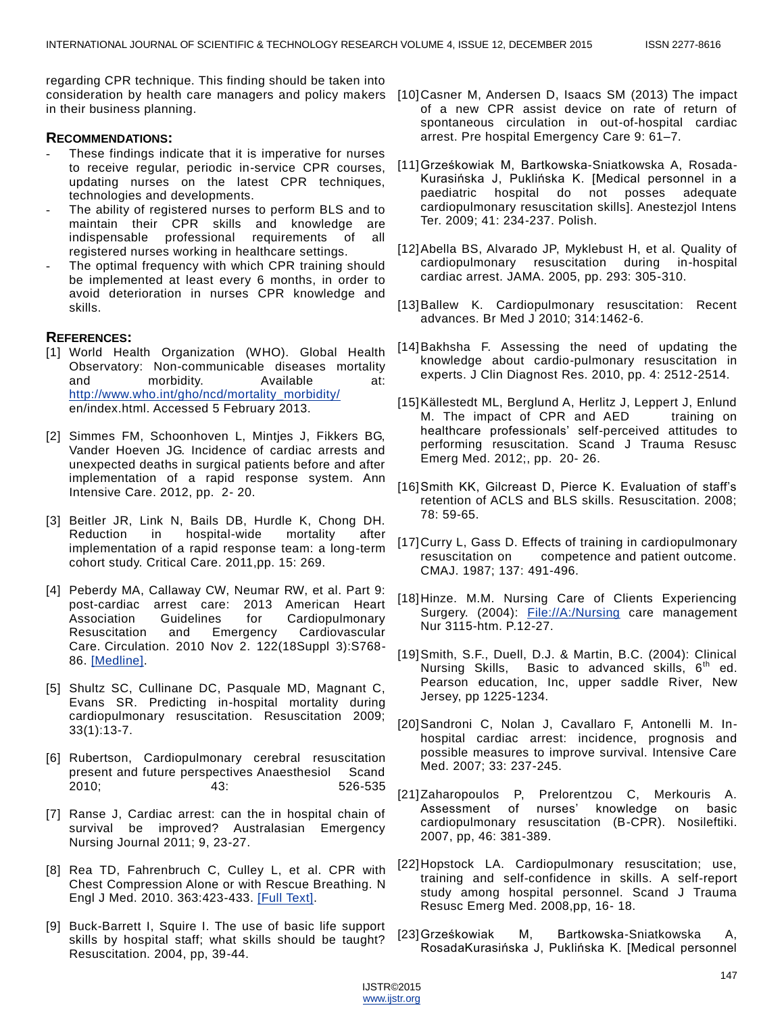regarding CPR technique. This finding should be taken into consideration by health care managers and policy makers [10]Casner M, Andersen D, Isaacs SM (2013) The impact in their business planning.

### **RECOMMENDATIONS:**

- These findings indicate that it is imperative for nurses to receive regular, periodic in-service CPR courses, updating nurses on the latest CPR techniques, technologies and developments.
- The ability of registered nurses to perform BLS and to maintain their CPR skills and knowledge are indispensable professional requirements of all registered nurses working in healthcare settings.
- The optimal frequency with which CPR training should be implemented at least every 6 months, in order to avoid deterioration in nurses CPR knowledge and skills.

## **REFERENCES:**

- [1] World Health Organization (WHO). Global Health Observatory: Non-communicable diseases mortality and morbidity. Available at: [http://www.who.int/gho/ncd/mortality\\_morbidity/](http://www.who.int/gho/ncd/mortality_morbidity/) en/index.html. Accessed 5 February 2013.
- [2] Simmes FM, Schoonhoven L, Mintjes J, Fikkers BG, Vander Hoeven JG. Incidence of cardiac arrests and unexpected deaths in surgical patients before and after implementation of a rapid response system. Ann Intensive Care. 2012, pp. 2- 20.
- [3] Beitler JR, Link N, Bails DB, Hurdle K, Chong DH. Reduction in hospital-wide mortality after implementation of a rapid response team: a long-term cohort study. Critical Care. 2011,pp. 15: 269.
- [4] Peberdy MA, Callaway CW, Neumar RW, et al. Part 9: post-cardiac arrest care: 2013 American Heart Association Guidelines for Cardiopulmonary Resuscitation and Emergency Cardiovascular Care. Circulation. 2010 Nov 2. 122(18Suppl 3):S768- 86. [\[Medline\].](http://reference.medscape.com/medline/abstract/20956225)
- [5] Shultz SC, Cullinane DC, Pasquale MD, Magnant C, Evans SR. Predicting in-hospital mortality during cardiopulmonary resuscitation. Resuscitation 2009; 33(1):13-7.
- [6] Rubertson, Cardiopulmonary cerebral resuscitation present and future perspectives Anaesthesiol Scand 2010; 43: 526-535
- [7] Ranse J, Cardiac arrest: can the in hospital chain of survival be improved? Australasian Emergency Nursing Journal 2011; 9, 23-27.
- [8] Rea TD, Fahrenbruch C, Culley L, et al. CPR with Chest Compression Alone or with Rescue Breathing. N Engl J Med. 2010. 363:423-433. [\[Full Text\].](http://www.nejm.org/doi/full/10.1056/NEJMoa0908993)
- [9] Buck-Barrett I, Squire I. The use of basic life support skills by hospital staff; what skills should be taught? Resuscitation. 2004, pp, 39-44.
- of a new CPR assist device on rate of return of spontaneous circulation in out-of-hospital cardiac arrest. Pre hospital Emergency Care 9: 61–7.
- [11]Grześkowiak M, Bartkowska-Sniatkowska A, Rosada-Kurasińska J, Puklińska K. [Medical personnel in a paediatric hospital do not posses adequate cardiopulmonary resuscitation skills]. Anestezjol Intens Ter. 2009; 41: 234-237. Polish.
- [12]Abella BS, Alvarado JP, Myklebust H, et al. Quality of cardiopulmonary resuscitation during in-hospital cardiac arrest. JAMA. 2005, pp. 293: 305-310.
- [13]Ballew K. Cardiopulmonary resuscitation: Recent advances. Br Med J 2010; 314:1462-6.
- [14]Bakhsha F. Assessing the need of updating the knowledge about cardio-pulmonary resuscitation in experts. J Clin Diagnost Res. 2010, pp. 4: 2512-2514.
- [15] Källestedt ML, Berglund A, Herlitz J, Leppert J, Enlund M. The impact of CPR and AED training on healthcare professionals' self-perceived attitudes to performing resuscitation. Scand J Trauma Resusc Emerg Med. 2012;, pp. 20- 26.
- [16]Smith KK, Gilcreast D, Pierce K. Evaluation of staff's retention of ACLS and BLS skills. Resuscitation. 2008; 78: 59-65.
- [17]Curry L, Gass D. Effects of training in cardiopulmonary resuscitation on competence and patient outcome. CMAJ. 1987; 137: 491-496.
- [18]Hinze. M.M. Nursing Care of Clients Experiencing Surgery. (2004): [File://A:/Nursing](file:///A:/Nursing) care management Nur 3115-htm. P.12-27.
- [19]Smith, S.F., Duell, D.J. & Martin, B.C. (2004): Clinical Nursing Skills, Basic to advanced skills,  $6<sup>th</sup>$  ed. Pearson education, Inc, upper saddle River, New Jersey, pp 1225-1234.
- [20]Sandroni C, Nolan J, Cavallaro F, Antonelli M. Inhospital cardiac arrest: incidence, prognosis and possible measures to improve survival. Intensive Care Med. 2007; 33: 237-245.
- [21]Zaharopoulos P, Prelorentzou C, Merkouris A. Assessment of nurses' knowledge on basic cardiopulmonary resuscitation (B-CPR). Nosileftiki. 2007, pp, 46: 381-389.
- [22]Hopstock LA. Cardiopulmonary resuscitation; use, training and self-confidence in skills. A self-report study among hospital personnel. Scand J Trauma Resusc Emerg Med. 2008,pp, 16- 18.
- [23]Grześkowiak M, Bartkowska-Sniatkowska A, RosadaKurasińska J, Puklińska K. [Medical personnel